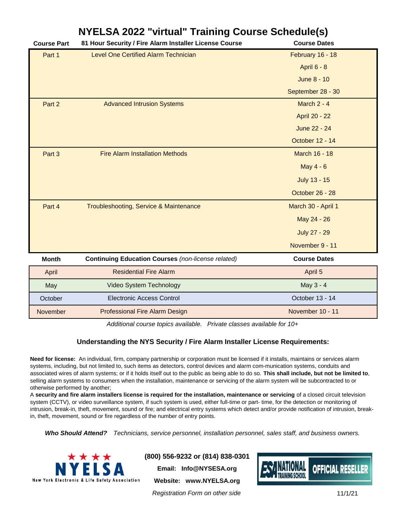## **NYELSA 2022 "virtual" Training Course Schedule(s)**

| <b>Course Part</b> | 81 Hour Security / Fire Alarm Installer License Course    | <b>Course Dates</b> |
|--------------------|-----------------------------------------------------------|---------------------|
| Part 1             | <b>Level One Certified Alarm Technician</b>               | February 16 - 18    |
|                    |                                                           | <b>April 6 - 8</b>  |
|                    |                                                           | <b>June 8 - 10</b>  |
|                    |                                                           | September 28 - 30   |
| Part 2             | <b>Advanced Intrusion Systems</b>                         | March 2 - 4         |
|                    |                                                           | April 20 - 22       |
|                    |                                                           | June 22 - 24        |
|                    |                                                           | October 12 - 14     |
| Part 3             | <b>Fire Alarm Installation Methods</b>                    | March 16 - 18       |
|                    |                                                           | May 4 - 6           |
|                    |                                                           | July 13 - 15        |
|                    |                                                           | October 26 - 28     |
| Part 4             | Troubleshooting, Service & Maintenance                    | March 30 - April 1  |
|                    |                                                           | May 24 - 26         |
|                    |                                                           | <b>July 27 - 29</b> |
|                    |                                                           | November 9 - 11     |
| <b>Month</b>       | <b>Continuing Education Courses (non-license related)</b> | <b>Course Dates</b> |
| April              | <b>Residential Fire Alarm</b>                             | April 5             |
| May                | Video System Technology                                   | May 3 - 4           |
| October            | Electronic Access Control                                 | October 13 - 14     |
| November           | <b>Professional Fire Alarm Design</b>                     | November 10 - 11    |

*Additional course topics available. Private classes available for 10+*

## **Understanding the NYS Security / Fire Alarm Installer License Requirements:**

**Need for license:** An individual, firm, company partnership or corporation must be licensed if it installs, maintains or services alarm systems, including, but not limited to, such items as detectors, control devices and alarm com-munication systems, conduits and associated wires of alarm systems; or if it holds itself out to the public as being able to do so. **This shall include, but not be limited to**, selling alarm systems to consumers when the installation, maintenance or servicing of the alarm system will be subcontracted to or otherwise performed by another;

A **security and fire alarm installers license is required for the installation, maintenance or servicing** of a closed circuit television system (CCTV), or video surveillance system, if such system is used, either full-time or part- time, for the detection or monitoring of intrusion, break-in, theft, movement, sound or fire; and electrical entry systems which detect and/or provide notification of intrusion, breakin, theft, movement, sound or fire regardless of the number of entry points.

*Who Should Attend? Technicians, service personnel, installation personnel, sales staff, and business owners.*



**(800) 556-9232 or (814) 838-0301 Email: Info@NYSESA.org**

**Website: www.NYELSA.org**

*Registration Form on other side*